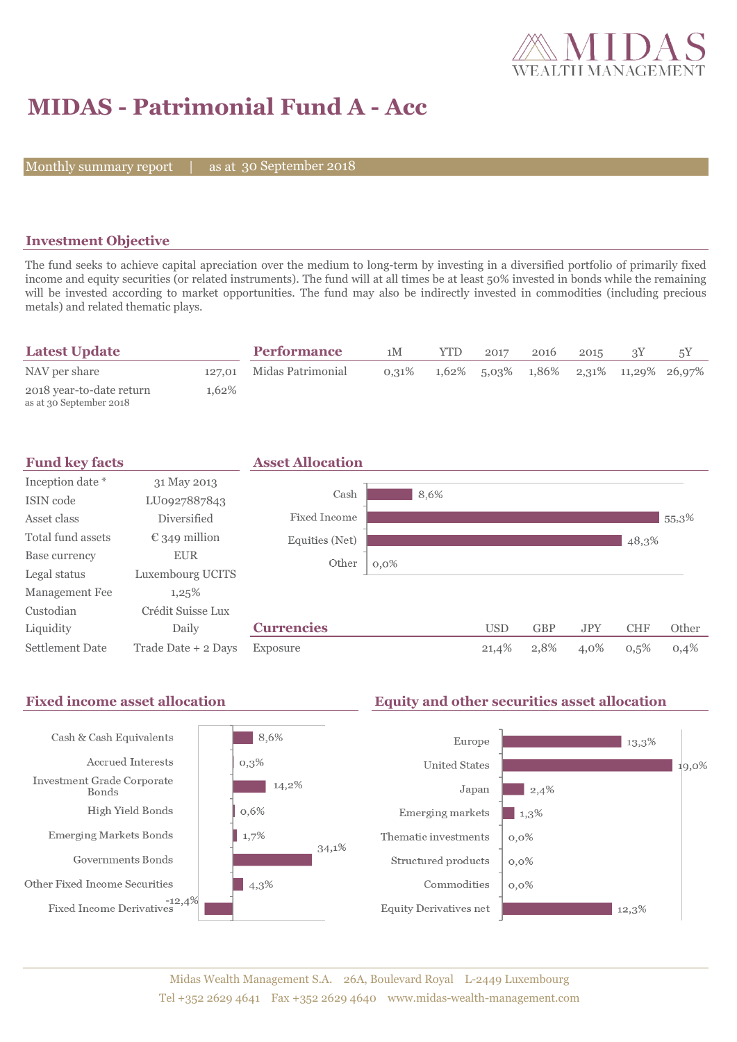

# **MIDAS - Patrimonial Fund A - Acc**

Monthly summary report

30 September 2018

### **Investment Objective**

The fund seeks to achieve capital apreciation over the medium to long-term by investing in a diversified portfolio of primarily fixed income and equity securities (or related instruments). The fund will at all times be at least 50% invested in bonds while the remaining will be invested according to market opportunities. The fund may also be indirectly invested in commodities (including precious metals) and related thematic plays.

| <b>Latest Update</b>                                |       | <b>Performance</b>       | 1M       | <b>YTD</b> | 2017 | 2016 | 2015 |                                               |
|-----------------------------------------------------|-------|--------------------------|----------|------------|------|------|------|-----------------------------------------------|
| NAV per share                                       |       | 127,01 Midas Patrimonial | $0.31\%$ |            |      |      |      | $1,62\%$ 5,03\% 1,86\% 2,31\% 11,29\% 26,97\% |
| 2018 year-to-date return<br>as at 30 September 2018 | 1.62% |                          |          |            |      |      |      |                                               |

| <b>Fund key facts</b> |                        | <b>Asset Allocation</b> |         |      |            |            |            |            |       |
|-----------------------|------------------------|-------------------------|---------|------|------------|------------|------------|------------|-------|
| Inception date *      | 31 May 2013            |                         |         |      |            |            |            |            |       |
| ISIN code             | LU0927887843           | Cash                    |         | 8,6% |            |            |            |            |       |
| Asset class           | Diversified            | Fixed Income            |         |      |            |            |            |            | 55,3% |
| Total fund assets     | $\epsilon$ 349 million | Equities (Net)          |         |      |            |            |            | 48,3%      |       |
| Base currency         | <b>EUR</b>             | Other                   | $0,0\%$ |      |            |            |            |            |       |
| Legal status          | Luxembourg UCITS       |                         |         |      |            |            |            |            |       |
| Management Fee        | 1,25%                  |                         |         |      |            |            |            |            |       |
| Custodian             | Crédit Suisse Lux      |                         |         |      |            |            |            |            |       |
| Liquidity             | Daily                  | <b>Currencies</b>       |         |      | <b>USD</b> | <b>GBP</b> | <b>JPY</b> | <b>CHF</b> | Other |
| Settlement Date       | Trade Date + 2 Days    | Exposure                |         |      | 21,4%      | 2,8%       | 4,0%       | 0,5%       | 0,4%  |

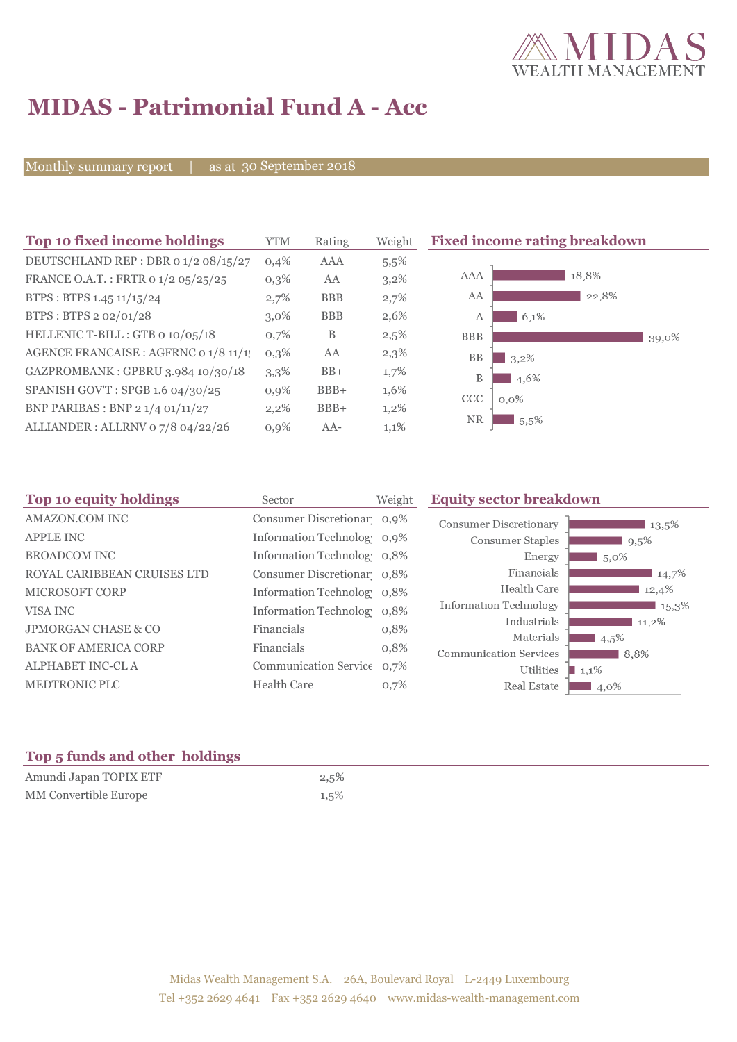

## **MIDAS - Patrimonial Fund A - Acc**

Monthly summary report | as at 30 September 2018

| Top 10 fixed income holdings          | <b>YTM</b> | Rating     | Weight  | <b>Fixed income rating breakdown</b> |
|---------------------------------------|------------|------------|---------|--------------------------------------|
| DEUTSCHLAND REP : DBR 0 1/2 08/15/27  | 0,4%       | <b>AAA</b> | 5,5%    |                                      |
| FRANCE O.A.T.: FRTR 0 1/2 05/25/25    | 0,3%       | AA         | 3,2%    | 18,8%<br>AAA                         |
| BTPS: BTPS 1.45 11/15/24              | 2,7%       | <b>BBB</b> | 2,7%    | AA<br>22,8%                          |
| BTPS: BTPS 2 02/01/28                 | $3.0\%$    | <b>BBB</b> | 2,6%    | 6,1%<br>А                            |
| HELLENIC T-BILL: GTB 0 10/05/18       | 0,7%       | B          | 2,5%    | <b>BBB</b><br>39,0%                  |
| AGENCE FRANCAISE : AGFRNC 0 1/8 11/1! | $0,3\%$    | AA         | 2,3%    | <b>BB</b><br>3,2%                    |
| GAZPROMBANK: GPBRU 3.984 10/30/18     | 3,3%       | $BB+$      | 1,7%    | B<br>4,6%                            |
| SPANISH GOV'T: SPGB 1.6 04/30/25      | 0,9%       | $BBB+$     | 1,6%    | CCC<br>$0.0\%$                       |
| BNP PARIBAS : BNP 2 1/4 01/11/27      | $2,2\%$    | $BBB+$     | $1,2\%$ |                                      |
| ALLIANDER: ALLRNV 07/8 04/22/26       | 0,9%       | $AA-$      | 1,1%    | NR.<br>5.5%                          |

| Top 10 equity holdings         | Sector                     | Weight | <b>Equity sector breakdown</b>                        |  |  |
|--------------------------------|----------------------------|--------|-------------------------------------------------------|--|--|
| AMAZON.COM INC                 | Consumer Discretionar 0,9% |        | <b>Consumer Discretionary</b><br>13,5%                |  |  |
| <b>APPLE INC</b>               | Information Technolog 0,9% |        | Consumer Staples<br>9,5%                              |  |  |
| <b>BROADCOM INC</b>            | Information Technolog 0,8% |        | Energy<br>$5.0\%$                                     |  |  |
| ROYAL CARIBBEAN CRUISES LTD    | Consumer Discretionar 0,8% |        | Financials<br>14,7%                                   |  |  |
| <b>MICROSOFT CORP</b>          | Information Technolog 0,8% |        | Health Care<br>12,4%                                  |  |  |
| VISA INC                       | Information Technolog 0,8% |        | <b>Information Technology</b><br>$\blacksquare$ 15,3% |  |  |
| <b>JPMORGAN CHASE &amp; CO</b> | Financials                 | 0,8%   | Industrials<br>11,2%<br>Materials                     |  |  |
| <b>BANK OF AMERICA CORP</b>    | Financials                 | 0,8%   | $4,5\%$<br><b>Communication Services</b><br>8,8%      |  |  |
| ALPHABET INC-CL A              | Communication Service 0,7% |        | Utilities<br>$1,1\%$                                  |  |  |
| MEDTRONIC PLC                  | <b>Health Care</b>         | 0,7%   | Real Estate<br>4,0%                                   |  |  |
|                                |                            |        |                                                       |  |  |

### **Top 5 funds and other holdings**

| Amundi Japan TOPIX ETF       | 2,5% |
|------------------------------|------|
| <b>MM</b> Convertible Europe | 1,5% |